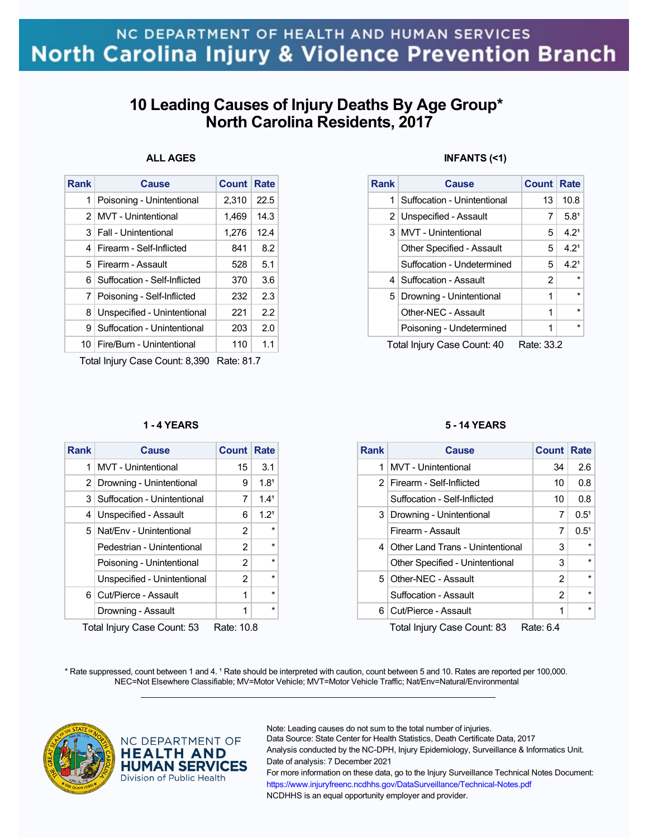# **10 Leading Causes of Injury Deaths By Age Group\* North Carolina Residents, 2017**

## **ALL AGES**

| <b>Rank</b>   | <b>Cause</b>                   | <b>Count</b> | <b>Rate</b> |
|---------------|--------------------------------|--------------|-------------|
| 1             | Poisoning - Unintentional      | 2,310        | 22.5        |
| $\mathcal{P}$ | <b>MVT</b> - Unintentional     | 1.469        | 14.3        |
|               | 3   Fall - Unintentional       | 1,276        | 12.4        |
| 4             | Firearm - Self-Inflicted       | 841          | 8.2         |
|               | 5 Firearm - Assault            | 528          | 5.1         |
| 61            | Suffocation - Self-Inflicted   | 370          | 3.6         |
|               | 7 Poisoning - Self-Inflicted   | 232          | 23          |
| 8             | Unspecified - Unintentional    | 221          | 2.2         |
| 9             | Suffocation - Unintentional    | 203          | 2.0         |
|               | 10   Fire/Burn - Unintentional | 110          | 1.1         |
|               |                                |              |             |

Total Injury Case Count: 8,390 Rate: 81.7

#### **1 - 4 YEARS**

| <b>Rank</b>                               | Cause                       | <b>Count Rate</b> |                  |  |
|-------------------------------------------|-----------------------------|-------------------|------------------|--|
| 1                                         | <b>MVT</b> - Unintentional  | 15                | 3.1              |  |
| 2                                         | Drowning - Unintentional    | 9                 | 1.8 <sup>1</sup> |  |
| 3 I                                       | Suffocation - Unintentional | 7                 | 1.4 <sup>1</sup> |  |
| 4                                         | Unspecified - Assault       | 6                 | 1.2 <sup>1</sup> |  |
|                                           | 5 Nat/Env - Unintentional   | 2                 | $\star$          |  |
|                                           | Pedestrian - Unintentional  | 2                 | $\star$          |  |
|                                           | Poisoning - Unintentional   | $\mathcal{P}$     | $\star$          |  |
|                                           | Unspecified - Unintentional | 2                 | $\star$          |  |
|                                           | 6 Cut/Pierce - Assault      | 1                 | $\star$          |  |
|                                           | Drowning - Assault          | 1                 | $\star$          |  |
| Total Injuny Caso Count: 53<br>Data: 10.8 |                             |                   |                  |  |

Total Injury Case Count: 53 Rate: 10.8

### **INFANTS (<1)**

| <b>Rank</b> | <b>Cause</b>                     | <b>Count Rate</b> |                  |
|-------------|----------------------------------|-------------------|------------------|
| 1           | Suffocation - Unintentional      | 13                | 10.8             |
|             | 2 Unspecified - Assault          | 7                 | $5.8^1$          |
|             | 3   MVT - Unintentional          | 5 <sup>1</sup>    | $4.2^1$          |
|             | <b>Other Specified - Assault</b> | 5                 | 4.2 <sup>1</sup> |
|             | Suffocation - Undetermined       | 5                 | $4.2^1$          |
|             | 4   Suffocation - Assault        | 2                 |                  |
|             | 5   Drowning - Unintentional     | 1                 |                  |
|             | Other-NEC - Assault              | 1                 | $\star$          |
|             | Poisoning - Undetermined         | 1                 |                  |

Total Injury Case Count: 40 Rate: 33.2

#### **5 - 14 YEARS**

| <b>Rank</b> | Cause                              | <b>Count Rate</b> |                  |
|-------------|------------------------------------|-------------------|------------------|
| 1           | MVT - Unintentional                | 34                | 2.6              |
|             | 2   Firearm - Self-Inflicted       | 10                | 0.8              |
|             | Suffocation - Self-Inflicted       | 10                | 0.8              |
|             | 3   Drowning - Unintentional       | 7                 | $0.5^{1}$        |
|             | Firearm - Assault                  | 7                 | 0.5 <sup>1</sup> |
|             | 4 Other Land Trans - Unintentional | 3                 | $\star$          |
|             | Other Specified - Unintentional    | 3                 | $\star$          |
|             | 5 Other-NEC - Assault              | 2                 | $\star$          |
|             | Suffocation - Assault              | 2                 | $\star$          |
|             | 6 Cut/Pierce - Assault             | 1                 | $\star$          |
|             |                                    |                   |                  |

Total Injury Case Count: 83 Rate: 6.4

\* Rate suppressed, count between 1 and 4. <sup>1</sup> Rate should be interpreted with caution, count between 5 and 10. Rates are reported per 100,000. NEC=Not Elsewhere Classifiable; MV=Motor Vehicle; MVT=Motor Vehicle Traffic; Nat/Env=Natural/Environmental  $\mathcal{L}_\mathcal{L} = \{ \mathcal{L}_\mathcal{L} = \{ \mathcal{L}_\mathcal{L} = \{ \mathcal{L}_\mathcal{L} = \{ \mathcal{L}_\mathcal{L} = \{ \mathcal{L}_\mathcal{L} = \{ \mathcal{L}_\mathcal{L} = \{ \mathcal{L}_\mathcal{L} = \{ \mathcal{L}_\mathcal{L} = \{ \mathcal{L}_\mathcal{L} = \{ \mathcal{L}_\mathcal{L} = \{ \mathcal{L}_\mathcal{L} = \{ \mathcal{L}_\mathcal{L} = \{ \mathcal{L}_\mathcal{L} = \{ \mathcal{L}_\mathcal{$ 



### NC DEPARTMENT OF **HEALTH AND HUMAN SERVICES** Division of Public Health

Note: Leading causes do not sum to the total number of injuries.

Data Source: State Center for Health Statistics, Death Certificate Data, 2017 Analysis conducted by the NC-DPH, Injury Epidemiology, Surveillance & Informatics Unit.

Date of analysis: 7 December 2021

For more information on these data, go to the Injury Surveillance Technical Notes Document: https://www.injuryfreenc.ncdhhs.gov/DataSurveillance/Technical-Notes.pdf NCDHHS is an equal opportunity employer and provider.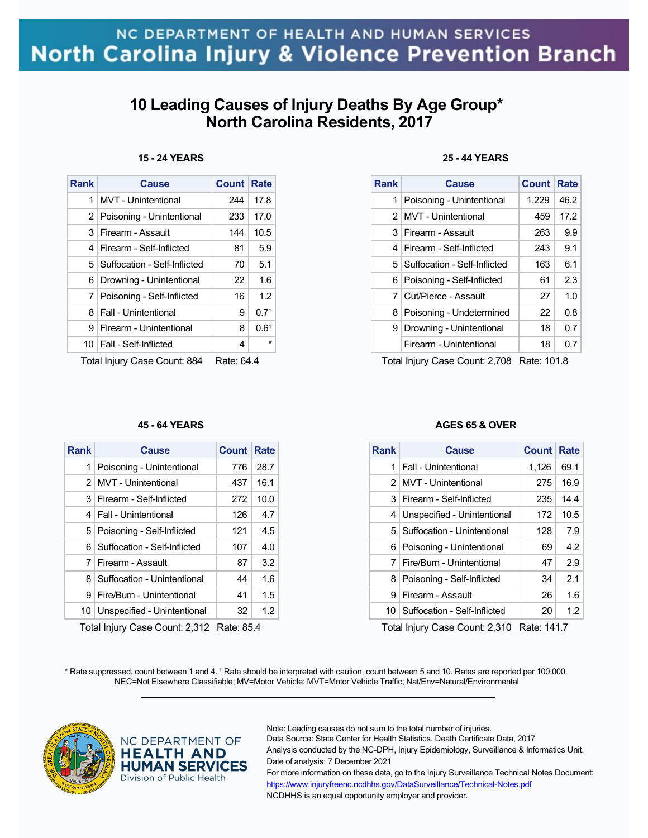# **10 Leading Causes of Injury Deaths By Age Group\* North Carolina Residents, 2017**

### **15 - 24 YEARS**

| Rank | <b>Cause</b>                     | <b>Count</b> | Rate             |
|------|----------------------------------|--------------|------------------|
| 1    | <b>MVT</b> - Unintentional       | 244          | 17.8             |
|      | 2 Poisoning - Unintentional      | 233          | 17.0             |
| 3 I  | Firearm - Assault                | 144          | 10.5             |
| 4    | Firearm - Self-Inflicted         | 81           | 5.9              |
|      | 5   Suffocation - Self-Inflicted | 70           | 5.1              |
| 6    | Drowning - Unintentional         | 22           | 1.6              |
|      | 7   Poisoning - Self-Inflicted   | 16           | 1.2              |
| 8    | <b>Fall - Unintentional</b>      | 9            | 0.7 <sup>1</sup> |
| 9    | Firearm - Unintentional          | 8            | 0.6 <sup>1</sup> |
|      | 10   Fall - Self-Inflicted       | 4            | $\star$          |
|      |                                  |              |                  |

Total Injury Case Count: 884 Rate: 64.4

### **45 - 64 YEARS**

| <b>Rank</b>    | <b>Cause</b>                   | Count Rate |                   |
|----------------|--------------------------------|------------|-------------------|
| 1              | Poisoning - Unintentional      | 776        | 28.7              |
| 2 <sup>1</sup> | MVT - Unintentional            | 437        | 16.1              |
| 3              | Firearm - Self-Inflicted       | 272        | 10.0 <sub>1</sub> |
|                | 4   Fall - Unintentional       | 126        | 4.7 <sup>1</sup>  |
|                | 5   Poisoning - Self-Inflicted | 121        | 4.5               |
| 61             | Suffocation - Self-Inflicted   | 107        | 4.0               |
| 7              | Firearm - Assault              | 87         | 3.2               |
| 8              | Suffocation - Unintentional    | 44         | 1.6               |
| 9              | Fire/Burn - Unintentional      | 41         | 1.5               |
| 10             | Unspecified - Unintentional    | 32         | $1.2\,$           |

Total Injury Case Count: 2,312 Rate: 85.4

### **25 - 44 YEARS**

| <b>Rank</b> | Cause                            | <b>Count Rate</b> |      |
|-------------|----------------------------------|-------------------|------|
| 1           | Poisoning - Unintentional        | 1,229             | 46.2 |
|             | 2 MVT - Unintentional            | 459               | 17.2 |
| 3           | Firearm - Assault                | 263               | 9.9  |
| 4           | Firearm - Self-Inflicted         | 243               | 9.1  |
|             | 5   Suffocation - Self-Inflicted | 163               | 6.1  |
| 6           | Poisoning - Self-Inflicted       | 61                | 23   |
|             | Cut/Pierce - Assault             | 27                | 1.0  |
| 8           | Poisoning - Undetermined         | 22                | 0.8  |
| 9           | Drowning - Unintentional         | 18                | 0.7  |
|             | Firearm - Unintentional          | 18                | 0.7  |

Total Injury Case Count: 2,708 Rate: 101.8

### **AGES 65 & OVER**

| <b>Rank</b> | Cause                           | <b>Count</b> | <b>Rate</b> |
|-------------|---------------------------------|--------------|-------------|
| 1           | Fall - Unintentional            | 1,126        | 69.1        |
|             | 2 MVT - Unintentional           | 275          | 16.9        |
| 3           | Firearm - Self-Inflicted        | 235          | 14.4        |
| 4           | Unspecified - Unintentional     | 172          | 10.5        |
|             | 5   Suffocation - Unintentional | 128          | 7.9         |
| 6           | Poisoning - Unintentional       | 69           | 4.2         |
| 7           | Fire/Burn - Unintentional       | 47           | 2.9         |
| 8           | Poisoning - Self-Inflicted      | 34           | 2.1         |
| я           | Firearm - Assault               | 26           | 1.6         |
| 10          | Suffocation - Self-Inflicted    | 20           | 1.2         |

Total Injury Case Count: 2,310 Rate: 141.7

\* Rate suppressed, count between 1 and 4. <sup>1</sup> Rate should be interpreted with caution, count between 5 and 10. Rates are reported per 100,000. NEC=Not Elsewhere Classifiable; MV=Motor Vehicle; MVT=Motor Vehicle Traffic; Nat/Env=Natural/Environmental  $\mathcal{L}_\mathcal{L} = \{ \mathcal{L}_\mathcal{L} = \{ \mathcal{L}_\mathcal{L} = \{ \mathcal{L}_\mathcal{L} = \{ \mathcal{L}_\mathcal{L} = \{ \mathcal{L}_\mathcal{L} = \{ \mathcal{L}_\mathcal{L} = \{ \mathcal{L}_\mathcal{L} = \{ \mathcal{L}_\mathcal{L} = \{ \mathcal{L}_\mathcal{L} = \{ \mathcal{L}_\mathcal{L} = \{ \mathcal{L}_\mathcal{L} = \{ \mathcal{L}_\mathcal{L} = \{ \mathcal{L}_\mathcal{L} = \{ \mathcal{L}_\mathcal{$ 



### NC DEPARTMENT OF **HEALTH AND HUMAN SERVICES** Division of Public Health

Note: Leading causes do not sum to the total number of injuries.

Data Source: State Center for Health Statistics, Death Certificate Data, 2017 Analysis conducted by the NC-DPH, Injury Epidemiology, Surveillance & Informatics Unit.

Date of analysis: 7 December 2021 For more information on these data, go to the Injury Surveillance Technical Notes Document: https://www.injuryfreenc.ncdhhs.gov/DataSurveillance/Technical-Notes.pdf

NCDHHS is an equal opportunity employer and provider.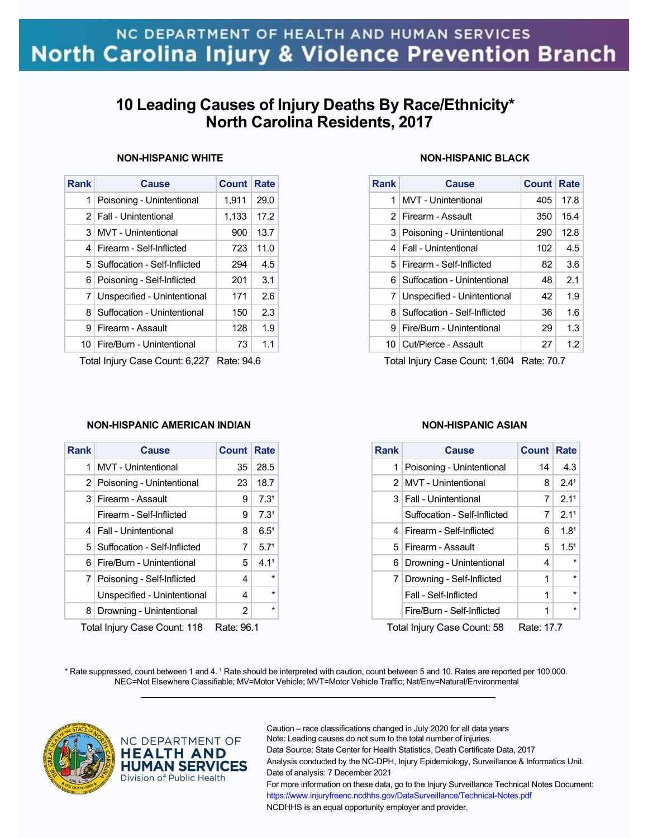# **10 Leading Causes of Injury Deaths By Race/Ethnicity\* North Carolina Residents, 2017**

### **NON-HISPANIC WHITE**

| <b>Rank</b>    | <b>Cause</b>                 | <b>Count</b> | <b>Rate</b> |
|----------------|------------------------------|--------------|-------------|
| 1              | Poisoning - Unintentional    | 1,911        | 29.0        |
| 2 <sup>1</sup> | Fall - Unintentional         | 1,133        | 17.2        |
| 3              | <b>MVT</b> - Unintentional   | 900          | 13.7        |
| 4              | Firearm - Self-Inflicted     | 723          | 11.0        |
| 5              | Suffocation - Self-Inflicted | 294          | 4.5         |
| 6              | Poisoning - Self-Inflicted   | 201          | 3.1         |
| 7              | Unspecified - Unintentional  | 171          | 2.6         |
| 8              | Suffocation - Unintentional  | 150          | 2.3         |
| 9              | Firearm - Assault            | 128          | 1.9         |
| 10 I           | Fire/Burn - Unintentional    | 73           | 1.1         |
|                |                              |              |             |

Total Injury Case Count: 6,227 Rate: 94.6

### **NON-HISPANIC AMERICAN INDIAN**

| <b>Rank</b>                                | <b>Cause</b>                     | <b>Count Rate</b> |                  |  |
|--------------------------------------------|----------------------------------|-------------------|------------------|--|
| 1                                          | <b>MVT</b> - Unintentional       | 35                | 28.5             |  |
| 2 <sub>1</sub>                             | Poisoning - Unintentional        | 23                | 18.7             |  |
| 3                                          | Firearm - Assault                | 9                 | 7.3 <sup>1</sup> |  |
|                                            | Firearm - Self-Inflicted         | 9                 | 7.3 <sup>1</sup> |  |
| 4                                          | Fall - Unintentional             | 8                 | $6.5^{\circ}$    |  |
|                                            | 5   Suffocation - Self-Inflicted | 7                 | 5.7 <sup>1</sup> |  |
| 6                                          | Fire/Burn - Unintentional        | 5                 | 4.1 <sup>1</sup> |  |
|                                            | 7   Poisoning - Self-Inflicted   | 4                 | $\star$          |  |
|                                            | Unspecified - Unintentional      | 4                 | $\star$          |  |
| 8                                          | Drowning - Unintentional         | $\overline{2}$    | $\star$          |  |
| Total Injune Cass Count: 110<br>Data: 06.1 |                                  |                   |                  |  |

Total Injury Case Count: 118 Rate: 96.1

### **NON-HISPANIC BLACK**

| <b>Rank</b> | Cause                           | Count Rate |      |
|-------------|---------------------------------|------------|------|
| 1           | <b>MVT</b> - Unintentional      | 405        | 17.8 |
|             | 2 Firearm - Assault             | 350        | 15.4 |
|             | 3   Poisoning - Unintentional   | 290        | 12.8 |
| 4           | <b>Fall - Unintentional</b>     | 102        | 4.5  |
|             | 5   Firearm - Self-Inflicted    | 82         | 3.6  |
|             | 6   Suffocation - Unintentional | 48         | 2.1  |
| 7           | Unspecified - Unintentional     | 42         | 1.9  |
| 81          | Suffocation - Self-Inflicted    | 36         | 1.6  |
| 9           | Fire/Burn - Unintentional       | 29         | 1.3  |
|             | 10   Cut/Pierce - Assault       | 27         | 1.2  |

Total Injury Case Count: 1,604 Rate: 70.7

### **NON-HISPANIC ASIAN**

| <b>Rank</b>    | Cause                        | <b>Count Rate</b> |                  |
|----------------|------------------------------|-------------------|------------------|
| 1              | Poisoning - Unintentional    | 14                | 4.3              |
| 2 <sup>1</sup> | <b>MVT</b> - Unintentional   | 8                 | 2.4 <sup>1</sup> |
|                | 3   Fall - Unintentional     | 7                 | 2.11             |
|                | Suffocation - Self-Inflicted | 7                 | 2.11             |
| 4              | Firearm - Self-Inflicted     | 6                 | 1.8 <sup>1</sup> |
| 5.             | Firearm - Assault            | 5                 | 1.5 <sup>1</sup> |
| 6              | Drowning - Unintentional     | 4                 | $\star$          |
| 7              | Drowning - Self-Inflicted    | 1                 | $\star$          |
|                | Fall - Self-Inflicted        | 1                 | $\star$          |
|                | Fire/Burn - Self-Inflicted   | 1                 | $\star$          |
|                |                              |                   |                  |

Total Injury Case Count: 58 Rate: 17.7

\* Rate suppressed, count between 1 and 4. <sup>1</sup> Rate should be interpreted with caution, count between 5 and 10. Rates are reported per 100,000. NEC=Not Elsewhere Classifiable; MV=Motor Vehicle; MVT=Motor Vehicle Traffic; Nat/Env=Natural/Environmental  $\mathcal{L}_\mathcal{L} = \{ \mathcal{L}_\mathcal{L} = \{ \mathcal{L}_\mathcal{L} = \{ \mathcal{L}_\mathcal{L} = \{ \mathcal{L}_\mathcal{L} = \{ \mathcal{L}_\mathcal{L} = \{ \mathcal{L}_\mathcal{L} = \{ \mathcal{L}_\mathcal{L} = \{ \mathcal{L}_\mathcal{L} = \{ \mathcal{L}_\mathcal{L} = \{ \mathcal{L}_\mathcal{L} = \{ \mathcal{L}_\mathcal{L} = \{ \mathcal{L}_\mathcal{L} = \{ \mathcal{L}_\mathcal{L} = \{ \mathcal{L}_\mathcal{$ 



### NC DEPARTMENT OF **HEALTH AND HUMAN SERVICES** Division of Public Health

Caution – race classifications changed in July 2020 for all data years Note: Leading causes do not sum to the total number of injuries. Data Source: State Center for Health Statistics, Death Certificate Data, 2017 Analysis conducted by the NC-DPH, Injury Epidemiology, Surveillance & Informatics Unit. Date of analysis: 7 December 2021 For more information on these data, go to the Injury Surveillance Technical Notes Document: https://www.injuryfreenc.ncdhhs.gov/DataSurveillance/Technical-Notes.pdf NCDHHS is an equal opportunity employer and provider.